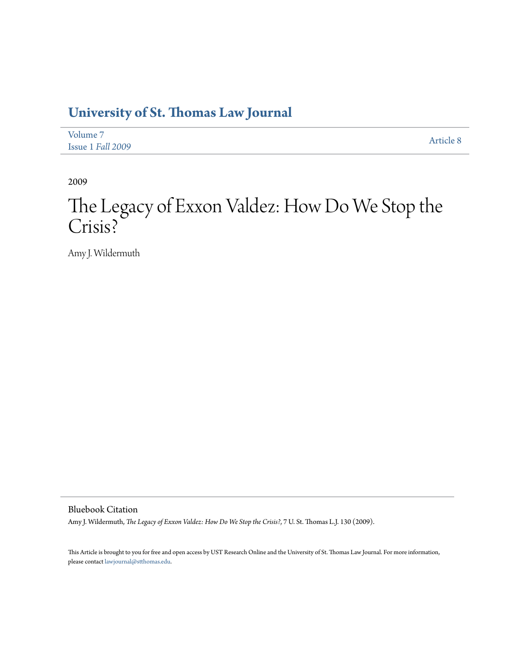## **[University of St. Thomas Law Journal](http://ir.stthomas.edu/ustlj)**

| Volume 7          | Article 8 |
|-------------------|-----------|
| Issue 1 Fall 2009 |           |

2009

# The Legacy of Exxon Valdez: How Do We Stop the Crisis?

Amy J. Wildermuth

Bluebook Citation

Amy J. Wildermuth, *The Legacy of Exxon Valdez: How Do We Stop the Crisis?*, 7 U. St. Thomas L.J. 130 (2009).

This Article is brought to you for free and open access by UST Research Online and the University of St. Thomas Law Journal. For more information, please contact [lawjournal@stthomas.edu.](mailto:lawjournal@stthomas.edu)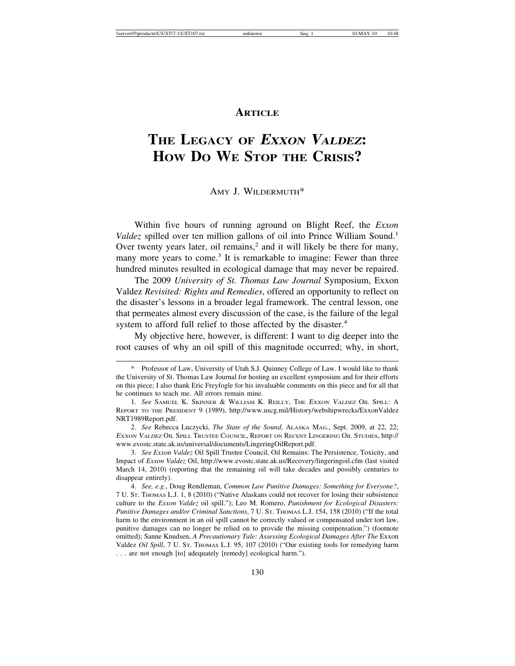### **ARTICLE**

## **THE LEGACY OF <sup>E</sup>XXON VALDEZ: HOW DO WE STOP THE CRISIS?**

#### AMY J. WILDERMUTH\*

Within five hours of running aground on Blight Reef, the *Exxon Valdez* spilled over ten million gallons of oil into Prince William Sound.<sup>1</sup> Over twenty years later, oil remains,<sup>2</sup> and it will likely be there for many, many more years to come.<sup>3</sup> It is remarkable to imagine: Fewer than three hundred minutes resulted in ecological damage that may never be repaired.

The 2009 *University of St. Thomas Law Journal* Symposium, Exxon Valdez *Revisited: Rights and Remedies*, offered an opportunity to reflect on the disaster's lessons in a broader legal framework. The central lesson, one that permeates almost every discussion of the case, is the failure of the legal system to afford full relief to those affected by the disaster.<sup>4</sup>

My objective here, however, is different: I want to dig deeper into the root causes of why an oil spill of this magnitude occurred; why, in short,

<sup>\*</sup> Professor of Law, University of Utah S.J. Quinney College of Law. I would like to thank the University of St. Thomas Law Journal for hosting an excellent symposium and for their efforts on this piece; I also thank Eric Freyfogle for his invaluable comments on this piece and for all that he continues to teach me. All errors remain mine.

<sup>1.</sup> *See* SAMUEL K. SKINNER & WILLIAM K. REILLY, THE <sup>E</sup>XXON VALDEZ OIL SPILL: A REPORT TO THE PRESIDENT 9 (1989), http://www.uscg.mil/History/webshipwrecks/ExxonValdez NRT1989Report.pdf.

<sup>2.</sup> *See* Rebecca Luczycki, *The State of the Sound*, ALASKA MAG., Sept. 2009, at 22, 22; <sup>E</sup>XXON VALDEZ OIL SPILL TRUSTEE COUNCIL, REPORT ON RECENT LINGERING OIL STUDIES, http:// www.evostc.state.ak.us/universal/documents/LingeringOilReport.pdf.

<sup>3.</sup> *See Exxon Valdez* Oil Spill Trustee Council, Oil Remains: The Persistence, Toxicity, and Impact of *Exxon Valdez* Oil, http://www.evostc.state.ak.us/Recovery/lingeringoil.cfm (last visited March 14, 2010) (reporting that the remaining oil will take decades and possibly centuries to disappear entirely).

<sup>4.</sup> *See, e.g.*, Doug Rendleman, *Common Law Punitive Damages: Something for Everyone?*, 7 U. ST. THOMAS L.J. 1, 8 (2010) ("Native Alaskans could not recover for losing their subsistence culture to the *Exxon Valdez* oil spill."); Leo M. Romero, *Punishment for Ecological Disasters: Punitive Damages and/or Criminal Sanctions*, 7 U. ST. THOMAS L.J. 154, 158 (2010) ("If the total harm to the environment in an oil spill cannot be correctly valued or compensated under tort law, punitive damages can no longer be relied on to provide the missing compensation.") (footnote omitted); Sanne Knudsen, *A Precautionary Tale: Assessing Ecological Damages After The* Exxon Valdez *Oil Spill*, 7 U. St. THOMAS L.J. 95, 107 (2010) ("Our existing tools for remedying harm . . . are not enough [to] adequately [remedy] ecological harm.").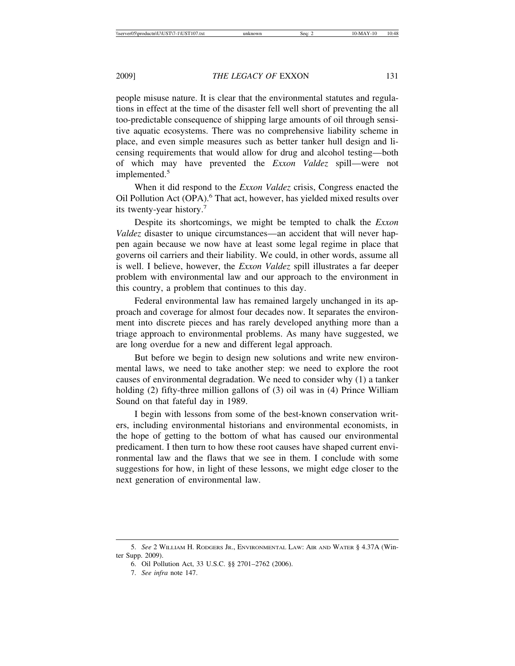people misuse nature. It is clear that the environmental statutes and regulations in effect at the time of the disaster fell well short of preventing the all too-predictable consequence of shipping large amounts of oil through sensitive aquatic ecosystems. There was no comprehensive liability scheme in place, and even simple measures such as better tanker hull design and licensing requirements that would allow for drug and alcohol testing—both of which may have prevented the *Exxon Valdez* spill—were not implemented.<sup>5</sup>

When it did respond to the *Exxon Valdez* crisis, Congress enacted the Oil Pollution Act (OPA).<sup>6</sup> That act, however, has yielded mixed results over its twenty-year history.7

Despite its shortcomings, we might be tempted to chalk the *Exxon Valdez* disaster to unique circumstances—an accident that will never happen again because we now have at least some legal regime in place that governs oil carriers and their liability. We could, in other words, assume all is well. I believe, however, the *Exxon Valdez* spill illustrates a far deeper problem with environmental law and our approach to the environment in this country, a problem that continues to this day.

Federal environmental law has remained largely unchanged in its approach and coverage for almost four decades now. It separates the environment into discrete pieces and has rarely developed anything more than a triage approach to environmental problems. As many have suggested, we are long overdue for a new and different legal approach.

But before we begin to design new solutions and write new environmental laws, we need to take another step: we need to explore the root causes of environmental degradation. We need to consider why (1) a tanker holding (2) fifty-three million gallons of (3) oil was in (4) Prince William Sound on that fateful day in 1989.

I begin with lessons from some of the best-known conservation writers, including environmental historians and environmental economists, in the hope of getting to the bottom of what has caused our environmental predicament. I then turn to how these root causes have shaped current environmental law and the flaws that we see in them. I conclude with some suggestions for how, in light of these lessons, we might edge closer to the next generation of environmental law.

<sup>5.</sup> *See* 2 WILLIAM H. RODGERS JR., ENVIRONMENTAL LAW: AIR AND WATER § 4.37A (Winter Supp. 2009).

<sup>6.</sup> Oil Pollution Act, 33 U.S.C. §§ 2701–2762 (2006).

<sup>7.</sup> *See infra* note 147.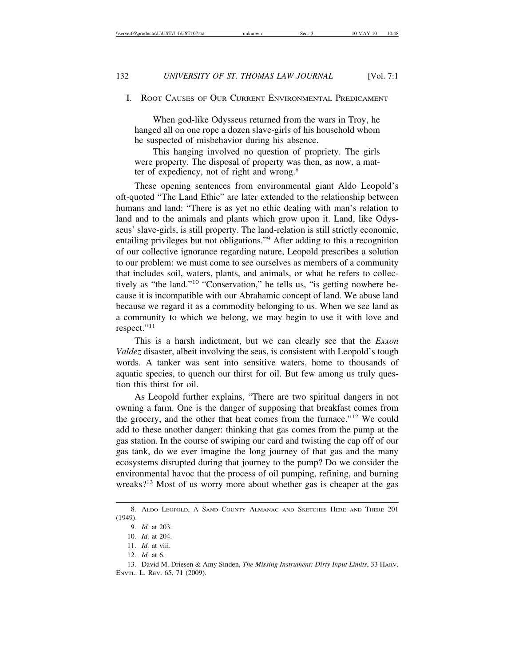#### I. ROOT CAUSES OF OUR CURRENT ENVIRONMENTAL PREDICAMENT

When god-like Odysseus returned from the wars in Troy, he hanged all on one rope a dozen slave-girls of his household whom he suspected of misbehavior during his absence.

This hanging involved no question of propriety. The girls were property. The disposal of property was then, as now, a matter of expediency, not of right and wrong.<sup>8</sup>

These opening sentences from environmental giant Aldo Leopold's oft-quoted "The Land Ethic" are later extended to the relationship between humans and land: "There is as yet no ethic dealing with man's relation to land and to the animals and plants which grow upon it. Land, like Odysseus' slave-girls, is still property. The land-relation is still strictly economic, entailing privileges but not obligations."<sup>9</sup> After adding to this a recognition of our collective ignorance regarding nature, Leopold prescribes a solution to our problem: we must come to see ourselves as members of a community that includes soil, waters, plants, and animals, or what he refers to collectively as "the land."10 "Conservation," he tells us, "is getting nowhere because it is incompatible with our Abrahamic concept of land. We abuse land because we regard it as a commodity belonging to us. When we see land as a community to which we belong, we may begin to use it with love and respect."<sup>11</sup>

This is a harsh indictment, but we can clearly see that the *Exxon Valdez* disaster, albeit involving the seas, is consistent with Leopold's tough words. A tanker was sent into sensitive waters, home to thousands of aquatic species, to quench our thirst for oil. But few among us truly question this thirst for oil.

As Leopold further explains, "There are two spiritual dangers in not owning a farm. One is the danger of supposing that breakfast comes from the grocery, and the other that heat comes from the furnace."<sup>12</sup> We could add to these another danger: thinking that gas comes from the pump at the gas station. In the course of swiping our card and twisting the cap off of our gas tank, do we ever imagine the long journey of that gas and the many ecosystems disrupted during that journey to the pump? Do we consider the environmental havoc that the process of oil pumping, refining, and burning wreaks?<sup>13</sup> Most of us worry more about whether gas is cheaper at the gas

<sup>8.</sup> ALDO LEOPOLD, A SAND COUNTY ALMANAC AND SKETCHES HERE AND THERE 201 (1949).

<sup>9.</sup> *Id.* at 203.

<sup>10.</sup> *Id.* at 204.

<sup>11.</sup> *Id.* at viii.

<sup>12.</sup> *Id.* at 6.

<sup>13.</sup> David M. Driesen & Amy Sinden, *The Missing Instrument: Dirty Input Limits*, 33 HARV. ENVTL. L. REV. 65, 71 (2009).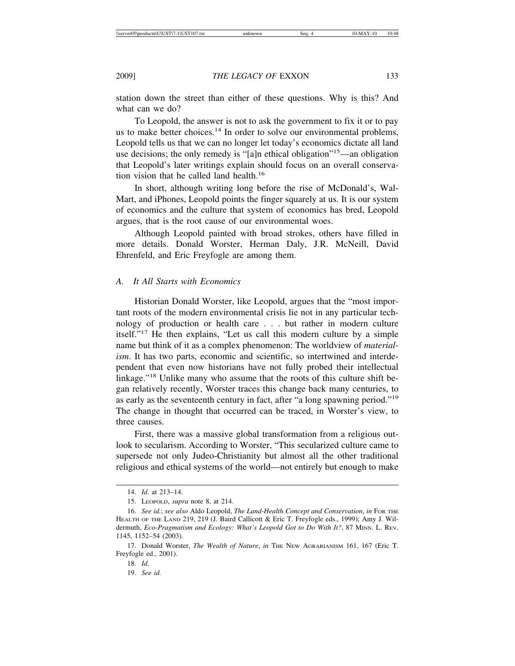station down the street than either of these questions. Why is this? And what can we do?

To Leopold, the answer is not to ask the government to fix it or to pay us to make better choices.<sup>14</sup> In order to solve our environmental problems, Leopold tells us that we can no longer let today's economics dictate all land use decisions; the only remedy is "[a]n ethical obligation"15—an obligation that Leopold's later writings explain should focus on an overall conservation vision that he called land health.<sup>16</sup>

In short, although writing long before the rise of McDonald's, Wal-Mart, and iPhones, Leopold points the finger squarely at us. It is our system of economics and the culture that system of economics has bred, Leopold argues, that is the root cause of our environmental woes.

Although Leopold painted with broad strokes, others have filled in more details. Donald Worster, Herman Daly, J.R. McNeill, David Ehrenfeld, and Eric Freyfogle are among them.

#### *A. It All Starts with Economics*

Historian Donald Worster, like Leopold, argues that the "most important roots of the modern environmental crisis lie not in any particular technology of production or health care . . . but rather in modern culture itself."17 He then explains, "Let us call this modern culture by a simple name but think of it as a complex phenomenon: The worldview of *materialism*. It has two parts, economic and scientific, so intertwined and interdependent that even now historians have not fully probed their intellectual linkage."<sup>18</sup> Unlike many who assume that the roots of this culture shift began relatively recently, Worster traces this change back many centuries, to as early as the seventeenth century in fact, after "a long spawning period."<sup>19</sup> The change in thought that occurred can be traced, in Worster's view, to three causes.

First, there was a massive global transformation from a religious outlook to secularism. According to Worster, "This secularized culture came to supersede not only Judeo-Christianity but almost all the other traditional religious and ethical systems of the world—not entirely but enough to make

<sup>14.</sup> *Id.* at 213–14.

<sup>15.</sup> LEOPOLD, *supra* note 8, at 214.

<sup>16.</sup> *See id.*; *see also* Aldo Leopold, *The Land-Health Concept and Conservation*, *in* FOR THE HEALTH OF THE LAND 219, 219 (J. Baird Callicott & Eric T. Freyfogle eds., 1999); Amy J. Wildermuth, *Eco-Pragmatism and Ecology: What's Leopold Got to Do With It?*, 87 MINN. L. REV. 1145, 1152–54 (2003).

<sup>17.</sup> Donald Worster, *The Wealth of Nature*, *in* THE NEW AGRARIANISM 161, 167 (Eric T. Freyfogle ed., 2001).

<sup>18.</sup> *Id.*

<sup>19.</sup> *See id.*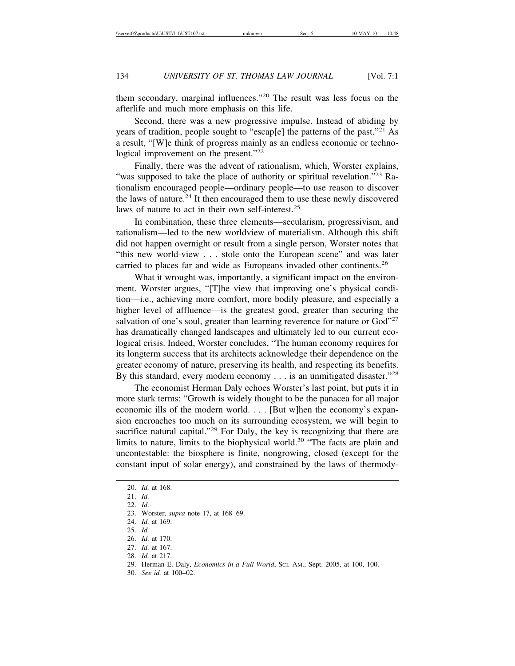them secondary, marginal influences."20 The result was less focus on the afterlife and much more emphasis on this life.

Second, there was a new progressive impulse. Instead of abiding by years of tradition, people sought to "escap[e] the patterns of the past."21 As a result, "[W]e think of progress mainly as an endless economic or technological improvement on the present."<sup>22</sup>

Finally, there was the advent of rationalism, which, Worster explains, "was supposed to take the place of authority or spiritual revelation."<sup>23</sup> Rationalism encouraged people—ordinary people—to use reason to discover the laws of nature.<sup>24</sup> It then encouraged them to use these newly discovered laws of nature to act in their own self-interest.<sup>25</sup>

In combination, these three elements—secularism, progressivism, and rationalism—led to the new worldview of materialism. Although this shift did not happen overnight or result from a single person, Worster notes that "this new world-view . . . stole onto the European scene" and was later carried to places far and wide as Europeans invaded other continents.<sup>26</sup>

What it wrought was, importantly, a significant impact on the environment. Worster argues, "[T]he view that improving one's physical condition—i.e., achieving more comfort, more bodily pleasure, and especially a higher level of affluence—is the greatest good, greater than securing the salvation of one's soul, greater than learning reverence for nature or God"<sup>27</sup> has dramatically changed landscapes and ultimately led to our current ecological crisis. Indeed, Worster concludes, "The human economy requires for its longterm success that its architects acknowledge their dependence on the greater economy of nature, preserving its health, and respecting its benefits. By this standard, every modern economy  $\dots$  is an unmitigated disaster."<sup>28</sup>

The economist Herman Daly echoes Worster's last point, but puts it in more stark terms: "Growth is widely thought to be the panacea for all major economic ills of the modern world. . . . [But w]hen the economy's expansion encroaches too much on its surrounding ecosystem, we will begin to sacrifice natural capital."<sup>29</sup> For Daly, the key is recognizing that there are limits to nature, limits to the biophysical world.<sup>30</sup> "The facts are plain and uncontestable: the biosphere is finite, nongrowing, closed (except for the constant input of solar energy), and constrained by the laws of thermody-

30. *See id.* at 100–02.

<sup>20.</sup> *Id.* at 168.

<sup>21.</sup> *Id.*

<sup>22.</sup> *Id.*

<sup>23.</sup> Worster, *supra* note 17, at 168–69.

<sup>24.</sup> *Id.* at 169.

<sup>25.</sup> *Id.*

<sup>26.</sup> *Id.* at 170.

<sup>27.</sup> *Id.* at 167.

<sup>28.</sup> *Id.* at 217.

<sup>29.</sup> Herman E. Daly, *Economics in a Full World*, SCI. AM., Sept. 2005, at 100, 100.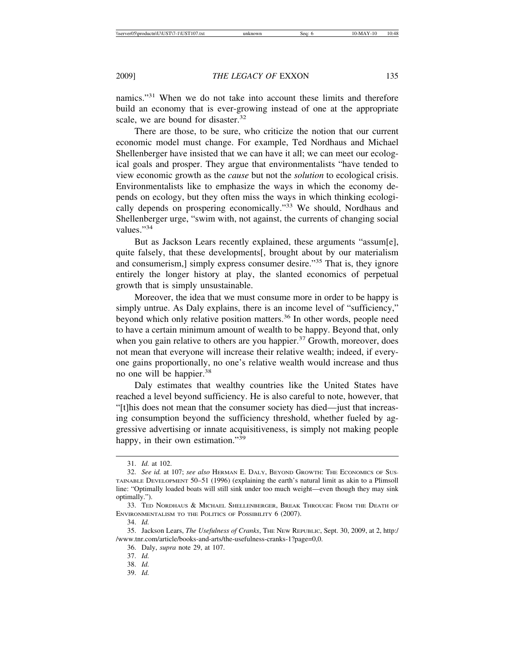namics."31 When we do not take into account these limits and therefore build an economy that is ever-growing instead of one at the appropriate scale, we are bound for disaster.<sup>32</sup>

There are those, to be sure, who criticize the notion that our current economic model must change. For example, Ted Nordhaus and Michael Shellenberger have insisted that we can have it all; we can meet our ecological goals and prosper. They argue that environmentalists "have tended to view economic growth as the *cause* but not the *solution* to ecological crisis. Environmentalists like to emphasize the ways in which the economy depends on ecology, but they often miss the ways in which thinking ecologically depends on prospering economically."33 We should, Nordhaus and Shellenberger urge, "swim with, not against, the currents of changing social values."<sup>34</sup>

But as Jackson Lears recently explained, these arguments "assum[e], quite falsely, that these developments[, brought about by our materialism and consumerism,] simply express consumer desire."<sup>35</sup> That is, they ignore entirely the longer history at play, the slanted economics of perpetual growth that is simply unsustainable.

Moreover, the idea that we must consume more in order to be happy is simply untrue. As Daly explains, there is an income level of "sufficiency," beyond which only relative position matters.<sup>36</sup> In other words, people need to have a certain minimum amount of wealth to be happy. Beyond that, only when you gain relative to others are you happier. $37$  Growth, moreover, does not mean that everyone will increase their relative wealth; indeed, if everyone gains proportionally, no one's relative wealth would increase and thus no one will be happier.<sup>38</sup>

Daly estimates that wealthy countries like the United States have reached a level beyond sufficiency. He is also careful to note, however, that "[t]his does not mean that the consumer society has died—just that increasing consumption beyond the sufficiency threshold, whether fueled by aggressive advertising or innate acquisitiveness, is simply not making people happy, in their own estimation."<sup>39</sup>

39. *Id.*

<sup>31.</sup> *Id.* at 102.

<sup>32.</sup> *See id.* at 107; *see also* HERMAN E. DALY, BEYOND GROWTH: THE ECONOMICS OF SUS-TAINABLE DEVELOPMENT 50–51 (1996) (explaining the earth's natural limit as akin to a Plimsoll line: "Optimally loaded boats will still sink under too much weight—even though they may sink optimally.").

<sup>33.</sup> TED NORDHAUS & MICHAEL SHELLENBERGER, BREAK THROUGH: FROM THE DEATH OF ENVIRONMENTALISM TO THE POLITICS OF POSSIBILITY 6 (2007).

<sup>34.</sup> *Id.*

<sup>35.</sup> Jackson Lears, *The Usefulness of Cranks*, THE NEW REPUBLIC, Sept. 30, 2009, at 2, http:/ /www.tnr.com/article/books-and-arts/the-usefulness-cranks-1?page=0,0.

<sup>36.</sup> Daly, *supra* note 29, at 107.

<sup>37.</sup> *Id.*

<sup>38.</sup> *Id.*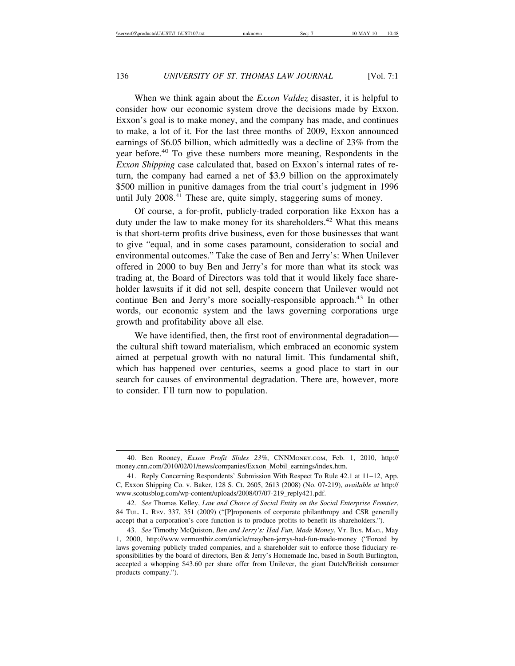When we think again about the *Exxon Valdez* disaster, it is helpful to consider how our economic system drove the decisions made by Exxon. Exxon's goal is to make money, and the company has made, and continues to make, a lot of it. For the last three months of 2009, Exxon announced earnings of \$6.05 billion, which admittedly was a decline of 23% from the year before.<sup>40</sup> To give these numbers more meaning, Respondents in the *Exxon Shipping* case calculated that, based on Exxon's internal rates of return, the company had earned a net of \$3.9 billion on the approximately \$500 million in punitive damages from the trial court's judgment in 1996 until July 2008.<sup>41</sup> These are, quite simply, staggering sums of money.

Of course, a for-profit, publicly-traded corporation like Exxon has a duty under the law to make money for its shareholders.<sup>42</sup> What this means is that short-term profits drive business, even for those businesses that want to give "equal, and in some cases paramount, consideration to social and environmental outcomes." Take the case of Ben and Jerry's: When Unilever offered in 2000 to buy Ben and Jerry's for more than what its stock was trading at, the Board of Directors was told that it would likely face shareholder lawsuits if it did not sell, despite concern that Unilever would not continue Ben and Jerry's more socially-responsible approach.<sup>43</sup> In other words, our economic system and the laws governing corporations urge growth and profitability above all else.

We have identified, then, the first root of environmental degradation the cultural shift toward materialism, which embraced an economic system aimed at perpetual growth with no natural limit. This fundamental shift, which has happened over centuries, seems a good place to start in our search for causes of environmental degradation. There are, however, more to consider. I'll turn now to population.

<sup>40.</sup> Ben Rooney, *Exxon Profit Slides 23%*, CNNMONEY.COM, Feb. 1, 2010, http:// money.cnn.com/2010/02/01/news/companies/Exxon\_Mobil\_earnings/index.htm.

<sup>41.</sup> Reply Concerning Respondents' Submission With Respect To Rule 42.1 at 11–12, App. C, Exxon Shipping Co. v. Baker, 128 S. Ct. 2605, 2613 (2008) (No. 07-219), *available at* http:// www.scotusblog.com/wp-content/uploads/2008/07/07-219\_reply421.pdf.

<sup>42.</sup> *See* Thomas Kelley, *Law and Choice of Social Entity on the Social Enterprise Frontier*, 84 TUL. L. REV. 337, 351 (2009) ("[P]roponents of corporate philanthropy and CSR generally accept that a corporation's core function is to produce profits to benefit its shareholders.").

<sup>43.</sup> *See* Timothy McQuiston, *Ben and Jerry's: Had Fun, Made Money*, VT. BUS. MAG., May 1, 2000, http://www.vermontbiz.com/article/may/ben-jerrys-had-fun-made-money ("Forced by laws governing publicly traded companies, and a shareholder suit to enforce those fiduciary responsibilities by the board of directors, Ben & Jerry's Homemade Inc, based in South Burlington, accepted a whopping \$43.60 per share offer from Unilever, the giant Dutch/British consumer products company.").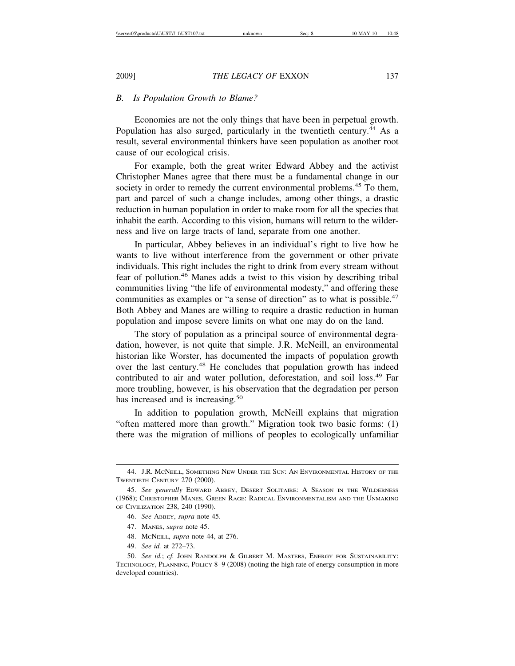#### *B. Is Population Growth to Blame?*

Economies are not the only things that have been in perpetual growth. Population has also surged, particularly in the twentieth century.<sup>44</sup> As a result, several environmental thinkers have seen population as another root cause of our ecological crisis.

For example, both the great writer Edward Abbey and the activist Christopher Manes agree that there must be a fundamental change in our society in order to remedy the current environmental problems.<sup>45</sup> To them, part and parcel of such a change includes, among other things, a drastic reduction in human population in order to make room for all the species that inhabit the earth. According to this vision, humans will return to the wilderness and live on large tracts of land, separate from one another.

In particular, Abbey believes in an individual's right to live how he wants to live without interference from the government or other private individuals. This right includes the right to drink from every stream without fear of pollution.46 Manes adds a twist to this vision by describing tribal communities living "the life of environmental modesty," and offering these communities as examples or "a sense of direction" as to what is possible.<sup>47</sup> Both Abbey and Manes are willing to require a drastic reduction in human population and impose severe limits on what one may do on the land.

The story of population as a principal source of environmental degradation, however, is not quite that simple. J.R. McNeill, an environmental historian like Worster, has documented the impacts of population growth over the last century.<sup>48</sup> He concludes that population growth has indeed contributed to air and water pollution, deforestation, and soil loss.<sup>49</sup> Far more troubling, however, is his observation that the degradation per person has increased and is increasing.<sup>50</sup>

In addition to population growth, McNeill explains that migration "often mattered more than growth." Migration took two basic forms: (1) there was the migration of millions of peoples to ecologically unfamiliar

49. *See id.* at 272–73.

<sup>44.</sup> J.R. MCNEILL, SOMETHING NEW UNDER THE SUN: AN ENVIRONMENTAL HISTORY OF THE TWENTIETH CENTURY 270 (2000).

<sup>45.</sup> *See generally* EDWARD ABBEY, DESERT SOLITAIRE: A SEASON IN THE WILDERNESS (1968); CHRISTOPHER MANES, GREEN RAGE: RADICAL ENVIRONMENTALISM AND THE UNMAKING OF CIVILIZATION 238, 240 (1990).

<sup>46.</sup> *See* ABBEY, *supra* note 45.

<sup>47.</sup> MANES, *supra* note 45.

<sup>48.</sup> MCNEILL, *supra* note 44, at 276.

<sup>50.</sup> *See id.*; *cf.* JOHN RANDOLPH & GILBERT M. MASTERS, ENERGY FOR SUSTAINABILITY: TECHNOLOGY, PLANNING, POLICY 8–9 (2008) (noting the high rate of energy consumption in more developed countries).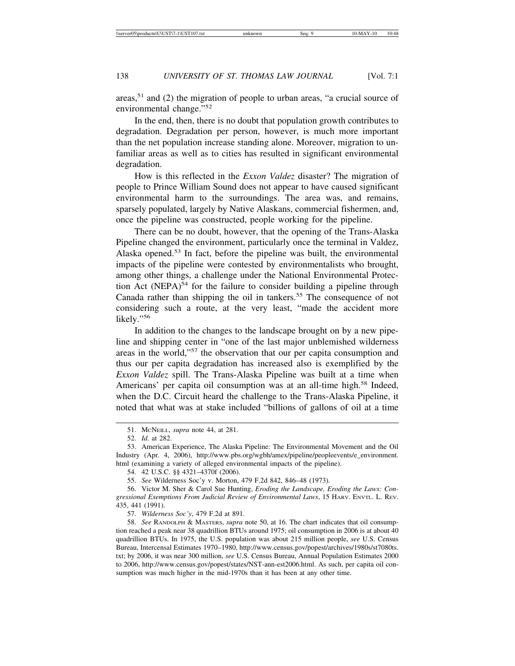areas,51 and (2) the migration of people to urban areas, "a crucial source of environmental change."<sup>52</sup>

In the end, then, there is no doubt that population growth contributes to degradation. Degradation per person, however, is much more important than the net population increase standing alone. Moreover, migration to unfamiliar areas as well as to cities has resulted in significant environmental degradation.

How is this reflected in the *Exxon Valdez* disaster? The migration of people to Prince William Sound does not appear to have caused significant environmental harm to the surroundings. The area was, and remains, sparsely populated, largely by Native Alaskans, commercial fishermen, and, once the pipeline was constructed, people working for the pipeline.

There can be no doubt, however, that the opening of the Trans-Alaska Pipeline changed the environment, particularly once the terminal in Valdez, Alaska opened.53 In fact, before the pipeline was built, the environmental impacts of the pipeline were contested by environmentalists who brought, among other things, a challenge under the National Environmental Protection Act (NEPA) $54$  for the failure to consider building a pipeline through Canada rather than shipping the oil in tankers.<sup>55</sup> The consequence of not considering such a route, at the very least, "made the accident more likely."<sup>56</sup>

In addition to the changes to the landscape brought on by a new pipeline and shipping center in "one of the last major unblemished wilderness areas in the world,"<sup>57</sup> the observation that our per capita consumption and thus our per capita degradation has increased also is exemplified by the *Exxon Valdez* spill. The Trans-Alaska Pipeline was built at a time when Americans' per capita oil consumption was at an all-time high.<sup>58</sup> Indeed, when the D.C. Circuit heard the challenge to the Trans-Alaska Pipeline, it noted that what was at stake included "billions of gallons of oil at a time

<sup>51.</sup> MCNEILL, *supra* note 44, at 281.

<sup>52.</sup> *Id.* at 282.

<sup>53.</sup> American Experience, The Alaska Pipeline: The Environmental Movement and the Oil Industry (Apr. 4, 2006), http://www.pbs.org/wgbh/amex/pipeline/peopleevents/e\_environment. html (examining a variety of alleged environmental impacts of the pipeline).

<sup>54. 42</sup> U.S.C. §§ 4321–4370f (2006).

<sup>55.</sup> *See* Wilderness Soc'y v. Morton, 479 F.2d 842, 846–48 (1973).

<sup>56.</sup> Victor M. Sher & Carol Sue Hunting, *Eroding the Landscape, Eroding the Laws: Congressional Exemptions From Judicial Review of Environmental Laws*, 15 HARV. ENVTL. L. REV. 435, 441 (1991).

<sup>57.</sup> *Wilderness Soc'y*, 479 F.2d at 891.

<sup>58.</sup> *See* RANDOLPH & MASTERS, *supra* note 50, at 16. The chart indicates that oil consumption reached a peak near 38 quadrillion BTUs around 1975; oil consumption in 2006 is at about 40 quadrillion BTUs. In 1975, the U.S. population was about 215 million people, *see* U.S. Census Bureau, Intercensal Estimates 1970–1980, http://www.census.gov/popest/archives/1980s/st7080ts. txt; by 2006, it was near 300 million, *see* U.S. Census Bureau, Annual Population Estimates 2000 to 2006, http://www.census.gov/popest/states/NST-ann-est2006.html. As such, per capita oil consumption was much higher in the mid-1970s than it has been at any other time.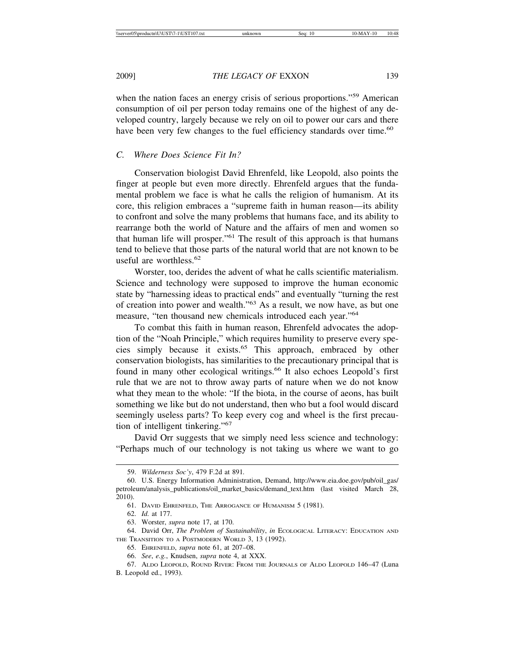when the nation faces an energy crisis of serious proportions."<sup>59</sup> American consumption of oil per person today remains one of the highest of any developed country, largely because we rely on oil to power our cars and there have been very few changes to the fuel efficiency standards over time.<sup>60</sup>

#### *C. Where Does Science Fit In?*

Conservation biologist David Ehrenfeld, like Leopold, also points the finger at people but even more directly. Ehrenfeld argues that the fundamental problem we face is what he calls the religion of humanism. At its core, this religion embraces a "supreme faith in human reason—its ability to confront and solve the many problems that humans face, and its ability to rearrange both the world of Nature and the affairs of men and women so that human life will prosper."61 The result of this approach is that humans tend to believe that those parts of the natural world that are not known to be useful are worthless.<sup>62</sup>

Worster, too, derides the advent of what he calls scientific materialism. Science and technology were supposed to improve the human economic state by "harnessing ideas to practical ends" and eventually "turning the rest of creation into power and wealth."63 As a result, we now have, as but one measure, "ten thousand new chemicals introduced each year."<sup>64</sup>

To combat this faith in human reason, Ehrenfeld advocates the adoption of the "Noah Principle," which requires humility to preserve every species simply because it exists.<sup>65</sup> This approach, embraced by other conservation biologists, has similarities to the precautionary principal that is found in many other ecological writings.<sup>66</sup> It also echoes Leopold's first rule that we are not to throw away parts of nature when we do not know what they mean to the whole: "If the biota, in the course of aeons, has built something we like but do not understand, then who but a fool would discard seemingly useless parts? To keep every cog and wheel is the first precaution of intelligent tinkering."<sup>67</sup>

David Orr suggests that we simply need less science and technology: "Perhaps much of our technology is not taking us where we want to go

<sup>59.</sup> *Wilderness Soc'y*, 479 F.2d at 891*.*

<sup>60.</sup> U.S. Energy Information Administration, Demand, http://www.eia.doe.gov/pub/oil\_gas/ petroleum/analysis\_publications/oil\_market\_basics/demand\_text.htm (last visited March 28, 2010).

<sup>61.</sup> DAVID EHRENFELD, THE ARROGANCE OF HUMANISM 5 (1981).

<sup>62.</sup> *Id.* at 177.

<sup>63.</sup> Worster, *supra* note 17, at 170.

<sup>64.</sup> David Orr, *The Problem of Sustainability*, *in* ECOLOGICAL LITERACY: EDUCATION AND THE TRANSITION TO A POSTMODERN WORLD 3, 13 (1992).

<sup>65.</sup> EHRENFELD, *supra* note 61, at 207–08.

<sup>66.</sup> *See*, *e.g.*, Knudsen, *supra* note 4, at XXX.

<sup>67.</sup> ALDO LEOPOLD, ROUND RIVER: FROM THE JOURNALS OF ALDO LEOPOLD 146–47 (Luna B. Leopold ed., 1993).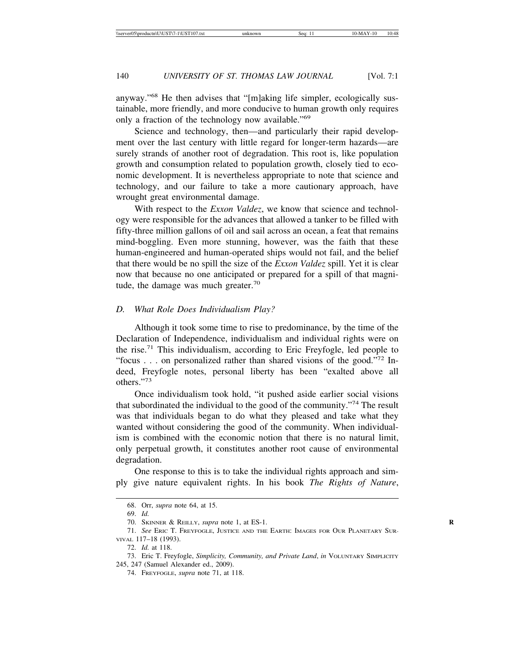anyway."68 He then advises that "[m]aking life simpler, ecologically sustainable, more friendly, and more conducive to human growth only requires only a fraction of the technology now available."<sup>69</sup>

Science and technology, then—and particularly their rapid development over the last century with little regard for longer-term hazards—are surely strands of another root of degradation. This root is, like population growth and consumption related to population growth, closely tied to economic development. It is nevertheless appropriate to note that science and technology, and our failure to take a more cautionary approach, have wrought great environmental damage.

With respect to the *Exxon Valdez*, we know that science and technology were responsible for the advances that allowed a tanker to be filled with fifty-three million gallons of oil and sail across an ocean, a feat that remains mind-boggling. Even more stunning, however, was the faith that these human-engineered and human-operated ships would not fail, and the belief that there would be no spill the size of the *Exxon Valdez* spill. Yet it is clear now that because no one anticipated or prepared for a spill of that magnitude, the damage was much greater. $70$ 

#### *D. What Role Does Individualism Play?*

Although it took some time to rise to predominance, by the time of the Declaration of Independence, individualism and individual rights were on the rise.<sup>71</sup> This individualism, according to Eric Freyfogle, led people to "focus . . . on personalized rather than shared visions of the good."<sup>72</sup> Indeed, Freyfogle notes, personal liberty has been "exalted above all others."73

Once individualism took hold, "it pushed aside earlier social visions that subordinated the individual to the good of the community."74 The result was that individuals began to do what they pleased and take what they wanted without considering the good of the community. When individualism is combined with the economic notion that there is no natural limit, only perpetual growth, it constitutes another root cause of environmental degradation.

One response to this is to take the individual rights approach and simply give nature equivalent rights. In his book *The Rights of Nature*,

<sup>68.</sup> Orr, *supra* note 64, at 15.

<sup>69.</sup> *Id.*

<sup>70.</sup> SKINNER & REILLY, *supra* note 1, at ES-1. **R**

<sup>71.</sup> *See* ERIC T. FREYFOGLE, JUSTICE AND THE EARTH: IMAGES FOR OUR PLANETARY SUR-VIVAL 117–18 (1993).

<sup>72.</sup> *Id.* at 118.

<sup>73.</sup> Eric T. Freyfogle, *Simplicity, Community, and Private Land*, *in* VOLUNTARY SIMPLICITY 245, 247 (Samuel Alexander ed., 2009).

<sup>74.</sup> FREYFOGLE, *supra* note 71, at 118.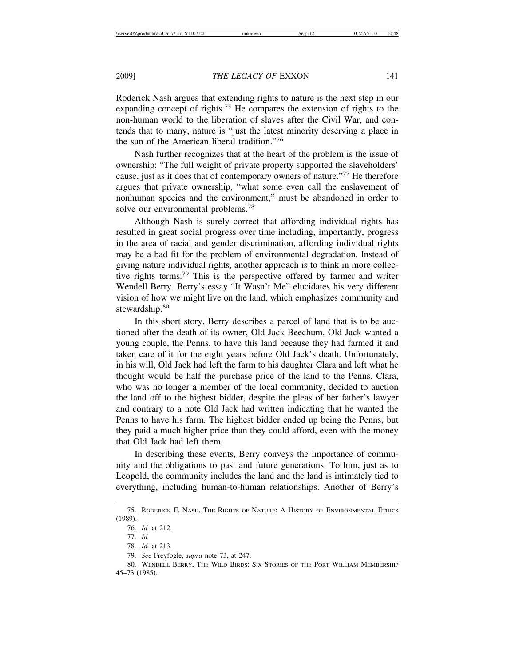Roderick Nash argues that extending rights to nature is the next step in our expanding concept of rights.<sup>75</sup> He compares the extension of rights to the non-human world to the liberation of slaves after the Civil War, and contends that to many, nature is "just the latest minority deserving a place in the sun of the American liberal tradition."<sup>76</sup>

Nash further recognizes that at the heart of the problem is the issue of ownership: "The full weight of private property supported the slaveholders' cause, just as it does that of contemporary owners of nature."77 He therefore argues that private ownership, "what some even call the enslavement of nonhuman species and the environment," must be abandoned in order to solve our environmental problems.<sup>78</sup>

Although Nash is surely correct that affording individual rights has resulted in great social progress over time including, importantly, progress in the area of racial and gender discrimination, affording individual rights may be a bad fit for the problem of environmental degradation. Instead of giving nature individual rights, another approach is to think in more collective rights terms.79 This is the perspective offered by farmer and writer Wendell Berry. Berry's essay "It Wasn't Me" elucidates his very different vision of how we might live on the land, which emphasizes community and stewardship.<sup>80</sup>

In this short story, Berry describes a parcel of land that is to be auctioned after the death of its owner, Old Jack Beechum. Old Jack wanted a young couple, the Penns, to have this land because they had farmed it and taken care of it for the eight years before Old Jack's death. Unfortunately, in his will, Old Jack had left the farm to his daughter Clara and left what he thought would be half the purchase price of the land to the Penns. Clara, who was no longer a member of the local community, decided to auction the land off to the highest bidder, despite the pleas of her father's lawyer and contrary to a note Old Jack had written indicating that he wanted the Penns to have his farm. The highest bidder ended up being the Penns, but they paid a much higher price than they could afford, even with the money that Old Jack had left them.

In describing these events, Berry conveys the importance of community and the obligations to past and future generations. To him, just as to Leopold, the community includes the land and the land is intimately tied to everything, including human-to-human relationships. Another of Berry's

<sup>75.</sup> RODERICK F. NASH, THE RIGHTS OF NATURE: A HISTORY OF ENVIRONMENTAL ETHICS (1989).

<sup>76.</sup> *Id.* at 212.

<sup>77.</sup> *Id.*

<sup>78.</sup> *Id.* at 213.

<sup>79.</sup> *See* Freyfogle, *supra* note 73, at 247.

<sup>80.</sup> WENDELL BERRY, THE WILD BIRDS: SIX STORIES OF THE PORT WILLIAM MEMBERSHIP 45–73 (1985).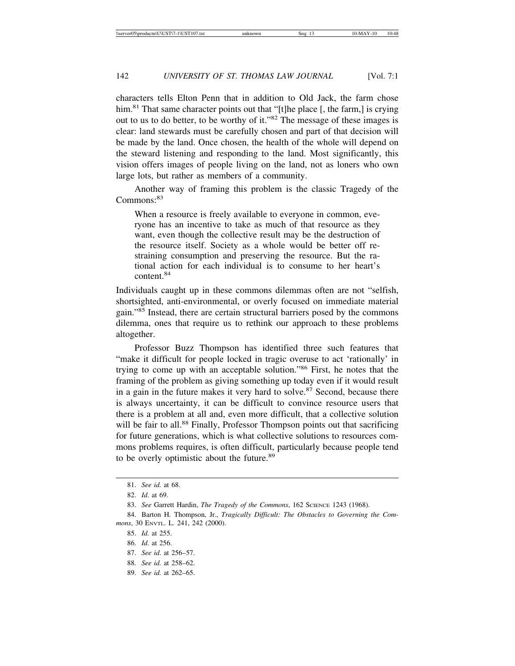characters tells Elton Penn that in addition to Old Jack, the farm chose him.<sup>81</sup> That same character points out that "[t]he place [, the farm,] is crying out to us to do better, to be worthy of it."82 The message of these images is clear: land stewards must be carefully chosen and part of that decision will be made by the land. Once chosen, the health of the whole will depend on the steward listening and responding to the land. Most significantly, this vision offers images of people living on the land, not as loners who own large lots, but rather as members of a community.

Another way of framing this problem is the classic Tragedy of the Commons:<sup>83</sup>

When a resource is freely available to everyone in common, everyone has an incentive to take as much of that resource as they want, even though the collective result may be the destruction of the resource itself. Society as a whole would be better off restraining consumption and preserving the resource. But the rational action for each individual is to consume to her heart's content.<sup>84</sup>

Individuals caught up in these commons dilemmas often are not "selfish, shortsighted, anti-environmental, or overly focused on immediate material gain."85 Instead, there are certain structural barriers posed by the commons dilemma, ones that require us to rethink our approach to these problems altogether.

Professor Buzz Thompson has identified three such features that "make it difficult for people locked in tragic overuse to act 'rationally' in trying to come up with an acceptable solution."86 First, he notes that the framing of the problem as giving something up today even if it would result in a gain in the future makes it very hard to solve. $87$  Second, because there is always uncertainty, it can be difficult to convince resource users that there is a problem at all and, even more difficult, that a collective solution will be fair to all.<sup>88</sup> Finally, Professor Thompson points out that sacrificing for future generations, which is what collective solutions to resources commons problems requires, is often difficult, particularly because people tend to be overly optimistic about the future.<sup>89</sup>

87. *See id*. at 256–57.

89. *See id.* at 262–65.

<sup>81.</sup> *See id.* at 68.

<sup>82.</sup> *Id.* at 69.

<sup>83.</sup> *See Garrett Hardin, The Tragedy of the Commons*, 162 SCIENCE 1243 (1968).

<sup>84.</sup> Barton H. Thompson, Jr., *Tragically Difficult: The Obstacles to Governing the Commons*, 30 ENVTL. L. 241, 242 (2000).

<sup>85.</sup> *Id.* at 255.

<sup>86.</sup> *Id.* at 256.

<sup>88.</sup> *See id.* at 258–62.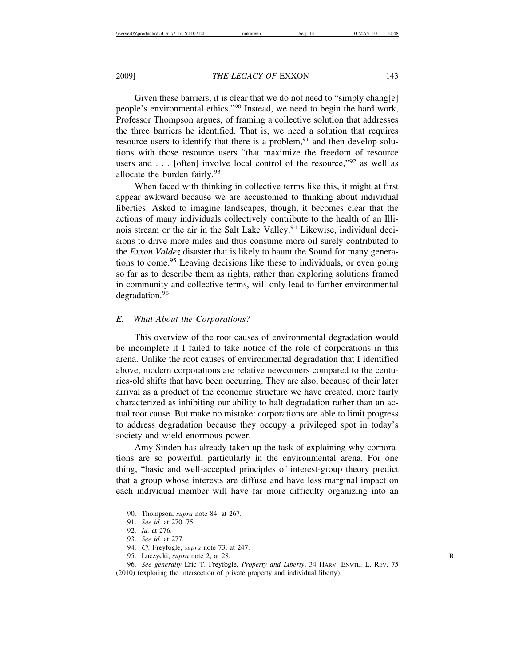Given these barriers, it is clear that we do not need to "simply chang[e] people's environmental ethics."90 Instead, we need to begin the hard work, Professor Thompson argues, of framing a collective solution that addresses the three barriers he identified. That is, we need a solution that requires resource users to identify that there is a problem,  $91$  and then develop solutions with those resource users "that maximize the freedom of resource users and  $\ldots$  [often] involve local control of the resource,"<sup>92</sup> as well as allocate the burden fairly.<sup>93</sup>

When faced with thinking in collective terms like this, it might at first appear awkward because we are accustomed to thinking about individual liberties. Asked to imagine landscapes, though, it becomes clear that the actions of many individuals collectively contribute to the health of an Illinois stream or the air in the Salt Lake Valley.<sup>94</sup> Likewise, individual decisions to drive more miles and thus consume more oil surely contributed to the *Exxon Valdez* disaster that is likely to haunt the Sound for many generations to come.95 Leaving decisions like these to individuals, or even going so far as to describe them as rights, rather than exploring solutions framed in community and collective terms, will only lead to further environmental degradation.<sup>96</sup>

#### *E. What About the Corporations?*

This overview of the root causes of environmental degradation would be incomplete if I failed to take notice of the role of corporations in this arena. Unlike the root causes of environmental degradation that I identified above, modern corporations are relative newcomers compared to the centuries-old shifts that have been occurring. They are also, because of their later arrival as a product of the economic structure we have created, more fairly characterized as inhibiting our ability to halt degradation rather than an actual root cause. But make no mistake: corporations are able to limit progress to address degradation because they occupy a privileged spot in today's society and wield enormous power.

Amy Sinden has already taken up the task of explaining why corporations are so powerful, particularly in the environmental arena. For one thing, "basic and well-accepted principles of interest-group theory predict that a group whose interests are diffuse and have less marginal impact on each individual member will have far more difficulty organizing into an

<sup>90.</sup> Thompson, *supra* note 84, at 267.

<sup>91.</sup> *See id.* at 270–75.

<sup>92.</sup> *Id.* at 276.

<sup>93.</sup> *See id.* at 277.

<sup>94.</sup> *Cf.* Freyfogle, *supra* note 73, at 247.

<sup>95.</sup> Luczycki, *supra* note 2, at 28. **R**

<sup>96.</sup> *See generally* Eric T. Freyfogle, *Property and Liberty*, 34 HARV. ENVTL. L. REV. 75 (2010) (exploring the intersection of private property and individual liberty).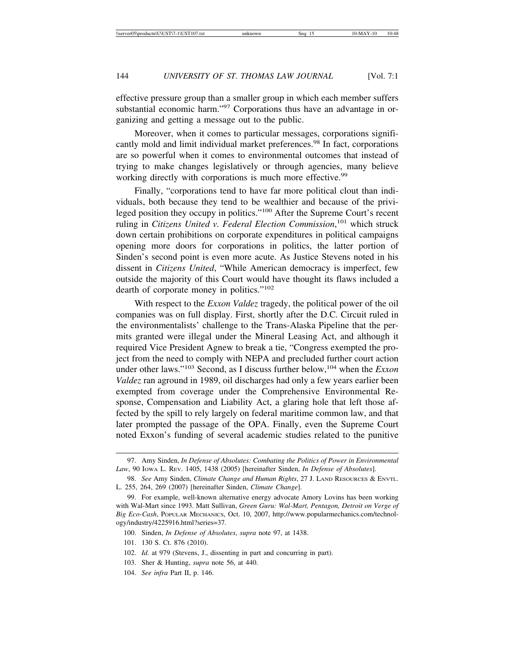effective pressure group than a smaller group in which each member suffers substantial economic harm."<sup>97</sup> Corporations thus have an advantage in organizing and getting a message out to the public.

Moreover, when it comes to particular messages, corporations significantly mold and limit individual market preferences.<sup>98</sup> In fact, corporations are so powerful when it comes to environmental outcomes that instead of trying to make changes legislatively or through agencies, many believe working directly with corporations is much more effective.<sup>99</sup>

Finally, "corporations tend to have far more political clout than individuals, both because they tend to be wealthier and because of the privileged position they occupy in politics."<sup>100</sup> After the Supreme Court's recent ruling in *Citizens United v. Federal Election Commission*, 101 which struck down certain prohibitions on corporate expenditures in political campaigns opening more doors for corporations in politics, the latter portion of Sinden's second point is even more acute. As Justice Stevens noted in his dissent in *Citizens United*, "While American democracy is imperfect, few outside the majority of this Court would have thought its flaws included a dearth of corporate money in politics."<sup>102</sup>

With respect to the *Exxon Valdez* tragedy, the political power of the oil companies was on full display. First, shortly after the D.C. Circuit ruled in the environmentalists' challenge to the Trans-Alaska Pipeline that the permits granted were illegal under the Mineral Leasing Act, and although it required Vice President Agnew to break a tie, "Congress exempted the project from the need to comply with NEPA and precluded further court action under other laws."103 Second, as I discuss further below,104 when the *Exxon Valdez* ran aground in 1989, oil discharges had only a few years earlier been exempted from coverage under the Comprehensive Environmental Response, Compensation and Liability Act, a glaring hole that left those affected by the spill to rely largely on federal maritime common law, and that later prompted the passage of the OPA. Finally, even the Supreme Court noted Exxon's funding of several academic studies related to the punitive

- 100. Sinden, *In Defense of Absolutes*, *supra* note 97, at 1438.
- 101. 130 S. Ct. 876 (2010).
- 102. *Id.* at 979 (Stevens, J., dissenting in part and concurring in part).
- 103. Sher & Hunting, *supra* note 56, at 440.
- 104. *See infra* Part II, p. 146.

<sup>97.</sup> Amy Sinden, *In Defense of Absolutes: Combating the Politics of Power in Environmental Law*, 90 IOWA L. REV. 1405, 1438 (2005) [hereinafter Sinden, *In Defense of Absolutes*].

<sup>98.</sup> *See* Amy Sinden, *Climate Change and Human Rights*, 27 J. LAND RESOURCES & ENVTL. L. 255, 264, 269 (2007) [hereinafter Sinden, *Climate Change*].

<sup>99.</sup> For example, well-known alternative energy advocate Amory Lovins has been working with Wal-Mart since 1993. Matt Sullivan, *Green Guru: Wal-Mart, Pentagon, Detroit on Verge of Big Eco-Cash*, POPULAR MECHANICS, Oct. 10, 2007, http://www.popularmechanics.com/technology/industry/4225916.html?series=37.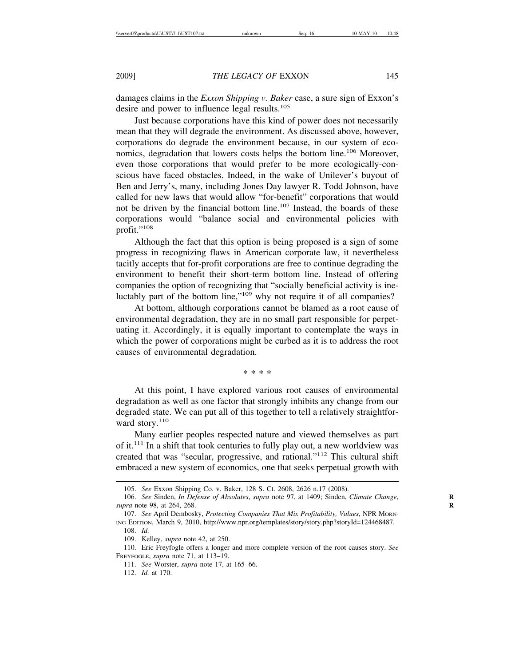damages claims in the *Exxon Shipping v. Baker* case, a sure sign of Exxon's desire and power to influence legal results.<sup>105</sup>

Just because corporations have this kind of power does not necessarily mean that they will degrade the environment. As discussed above, however, corporations do degrade the environment because, in our system of economics, degradation that lowers costs helps the bottom line.<sup>106</sup> Moreover, even those corporations that would prefer to be more ecologically-conscious have faced obstacles. Indeed, in the wake of Unilever's buyout of Ben and Jerry's, many, including Jones Day lawyer R. Todd Johnson, have called for new laws that would allow "for-benefit" corporations that would not be driven by the financial bottom line.<sup>107</sup> Instead, the boards of these corporations would "balance social and environmental policies with profit."<sup>108</sup>

Although the fact that this option is being proposed is a sign of some progress in recognizing flaws in American corporate law, it nevertheless tacitly accepts that for-profit corporations are free to continue degrading the environment to benefit their short-term bottom line. Instead of offering companies the option of recognizing that "socially beneficial activity is ineluctably part of the bottom line,"109 why not require it of all companies?

At bottom, although corporations cannot be blamed as a root cause of environmental degradation, they are in no small part responsible for perpetuating it. Accordingly, it is equally important to contemplate the ways in which the power of corporations might be curbed as it is to address the root causes of environmental degradation.

\* \* \* \*

At this point, I have explored various root causes of environmental degradation as well as one factor that strongly inhibits any change from our degraded state. We can put all of this together to tell a relatively straightforward story.<sup>110</sup>

Many earlier peoples respected nature and viewed themselves as part of it. $111$  In a shift that took centuries to fully play out, a new worldview was created that was "secular, progressive, and rational."112 This cultural shift embraced a new system of economics, one that seeks perpetual growth with

<sup>105.</sup> *See* Exxon Shipping Co. v. Baker, 128 S. Ct. 2608, 2626 n.17 (2008).

<sup>106.</sup> *See Sinden, In Defense of Absolutes, supra* note 97, at 1409; Sinden, *Climate Change*, *supra* note 98, at 264, 268. **R**

<sup>107.</sup> *See* April Dembosky, *Protecting Companies That Mix Profitability, Values*, NPR MORN-ING EDITION, March 9, 2010, http://www.npr.org/templates/story/story.php?storyId=124468487. 108. *Id.*

<sup>109.</sup> Kelley, *supra* note 42, at 250.

<sup>110.</sup> Eric Freyfogle offers a longer and more complete version of the root causes story. *See* FREYFOGLE, *supra* note 71, at 113–19.

<sup>111.</sup> *See* Worster, *supra* note 17, at 165–66.

<sup>112.</sup> *Id.* at 170.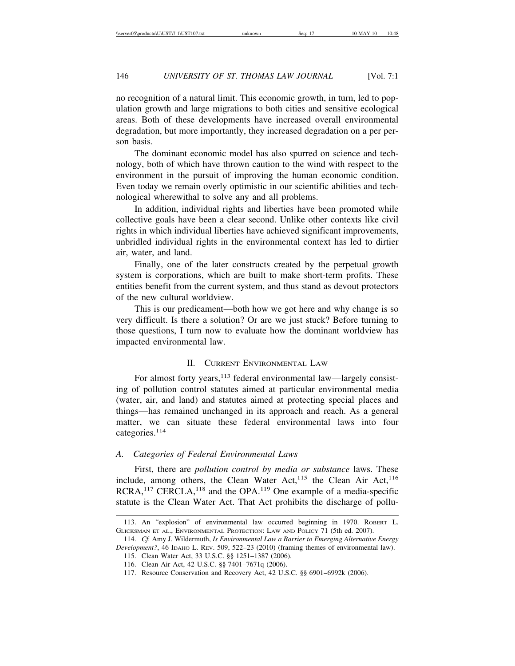no recognition of a natural limit. This economic growth, in turn, led to population growth and large migrations to both cities and sensitive ecological areas. Both of these developments have increased overall environmental degradation, but more importantly, they increased degradation on a per person basis.

The dominant economic model has also spurred on science and technology, both of which have thrown caution to the wind with respect to the environment in the pursuit of improving the human economic condition. Even today we remain overly optimistic in our scientific abilities and technological wherewithal to solve any and all problems.

In addition, individual rights and liberties have been promoted while collective goals have been a clear second. Unlike other contexts like civil rights in which individual liberties have achieved significant improvements, unbridled individual rights in the environmental context has led to dirtier air, water, and land.

Finally, one of the later constructs created by the perpetual growth system is corporations, which are built to make short-term profits. These entities benefit from the current system, and thus stand as devout protectors of the new cultural worldview.

This is our predicament—both how we got here and why change is so very difficult. Is there a solution? Or are we just stuck? Before turning to those questions, I turn now to evaluate how the dominant worldview has impacted environmental law.

#### II. CURRENT ENVIRONMENTAL LAW

For almost forty years,<sup>113</sup> federal environmental law—largely consisting of pollution control statutes aimed at particular environmental media (water, air, and land) and statutes aimed at protecting special places and things—has remained unchanged in its approach and reach. As a general matter, we can situate these federal environmental laws into four categories.114

#### *A. Categories of Federal Environmental Laws*

First, there are *pollution control by media or substance* laws. These include, among others, the Clean Water Act, $^{115}$  the Clean Air Act, $^{116}$  $RCRA$ ,<sup>117</sup> CERCLA,<sup>118</sup> and the OPA.<sup>119</sup> One example of a media-specific statute is the Clean Water Act. That Act prohibits the discharge of pollu-

<sup>113.</sup> An "explosion" of environmental law occurred beginning in 1970. ROBERT L. GLICKSMAN ET AL., ENVIRONMENTAL PROTECTION: LAW AND POLICY 71 (5th ed. 2007).

<sup>114.</sup> *Cf.* Amy J. Wildermuth, *Is Environmental Law a Barrier to Emerging Alternative Energy Development?*, 46 IDAHO L. REV. 509, 522–23 (2010) (framing themes of environmental law).

<sup>115.</sup> Clean Water Act, 33 U.S.C. §§ 1251–1387 (2006).

<sup>116.</sup> Clean Air Act, 42 U.S.C. §§ 7401–7671q (2006).

<sup>117.</sup> Resource Conservation and Recovery Act, 42 U.S.C. §§ 6901–6992k (2006).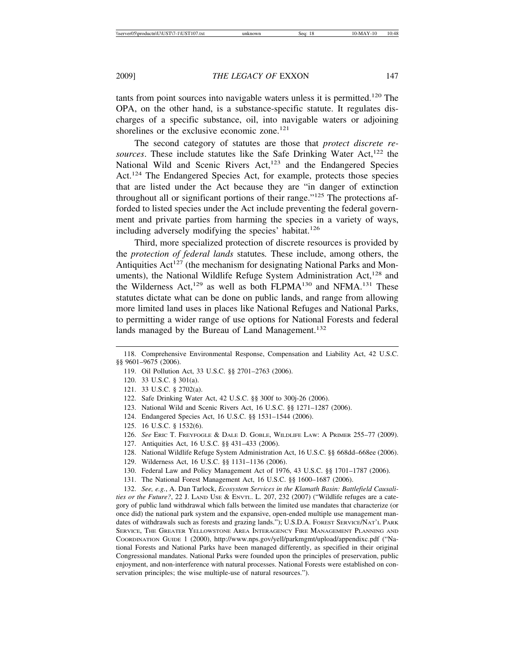tants from point sources into navigable waters unless it is permitted.<sup>120</sup> The OPA, on the other hand, is a substance-specific statute. It regulates discharges of a specific substance, oil, into navigable waters or adjoining shorelines or the exclusive economic zone.<sup>121</sup>

The second category of statutes are those that *protect discrete resources*. These include statutes like the Safe Drinking Water Act,<sup>122</sup> the National Wild and Scenic Rivers  $Act<sub>1</sub><sup>123</sup>$  and the Endangered Species Act.<sup>124</sup> The Endangered Species Act, for example, protects those species that are listed under the Act because they are "in danger of extinction throughout all or significant portions of their range."<sup>125</sup> The protections afforded to listed species under the Act include preventing the federal government and private parties from harming the species in a variety of ways, including adversely modifying the species' habitat.<sup>126</sup>

Third, more specialized protection of discrete resources is provided by the *protection of federal lands* statutes*.* These include, among others, the Antiquities  $Act^{127}$  (the mechanism for designating National Parks and Monuments), the National Wildlife Refuge System Administration Act,<sup>128</sup> and the Wilderness Act,  $129$  as well as both FLPMA<sup>130</sup> and NFMA.<sup>131</sup> These statutes dictate what can be done on public lands, and range from allowing more limited land uses in places like National Refuges and National Parks, to permitting a wider range of use options for National Forests and federal lands managed by the Bureau of Land Management.<sup>132</sup>

- 119. Oil Pollution Act, 33 U.S.C. §§ 2701–2763 (2006).
- 120. 33 U.S.C. § 301(a).
- 121. 33 U.S.C. § 2702(a).
- 122. Safe Drinking Water Act, 42 U.S.C. §§ 300f to 300j-26 (2006).
- 123. National Wild and Scenic Rivers Act, 16 U.S.C. §§ 1271–1287 (2006).
- 124. Endangered Species Act, 16 U.S.C. §§ 1531–1544 (2006).
- 125. 16 U.S.C. § 1532(6).
- 126. *See* ERIC T. FREYFOGLE & DALE D. GOBLE, WILDLIFE LAW: A PRIMER 255–77 (2009).
- 127. Antiquities Act, 16 U.S.C. §§ 431–433 (2006).
- 128. National Wildlife Refuge System Administration Act, 16 U.S.C. §§ 668dd–668ee (2006).
- 129. Wilderness Act, 16 U.S.C. §§ 1131–1136 (2006).
- 130. Federal Law and Policy Management Act of 1976, 43 U.S.C. §§ 1701–1787 (2006).
- 131. The National Forest Management Act, 16 U.S.C. §§ 1600–1687 (2006).

132. *See, e.g.*, A. Dan Tarlock, *Ecosystem Services in the Klamath Basin: Battlefield Causalities or the Future?*, 22 J. LAND USE & ENVTL. L. 207, 232 (2007) ("Wildlife refuges are a category of public land withdrawal which falls between the limited use mandates that characterize (or once did) the national park system and the expansive, open-ended multiple use management mandates of withdrawals such as forests and grazing lands."); U.S.D.A. FOREST SERVICE/NAT'L PARK SERVICE, THE GREATER YELLOWSTONE AREA INTERAGENCY FIRE MANAGEMENT PLANNING AND COORDINATION GUIDE 1 (2000), http://www.nps.gov/yell/parkmgmt/upload/appendixc.pdf ("National Forests and National Parks have been managed differently, as specified in their original Congressional mandates. National Parks were founded upon the principles of preservation, public enjoyment, and non-interference with natural processes. National Forests were established on conservation principles; the wise multiple-use of natural resources.").

<sup>118.</sup> Comprehensive Environmental Response, Compensation and Liability Act, 42 U.S.C. §§ 9601–9675 (2006).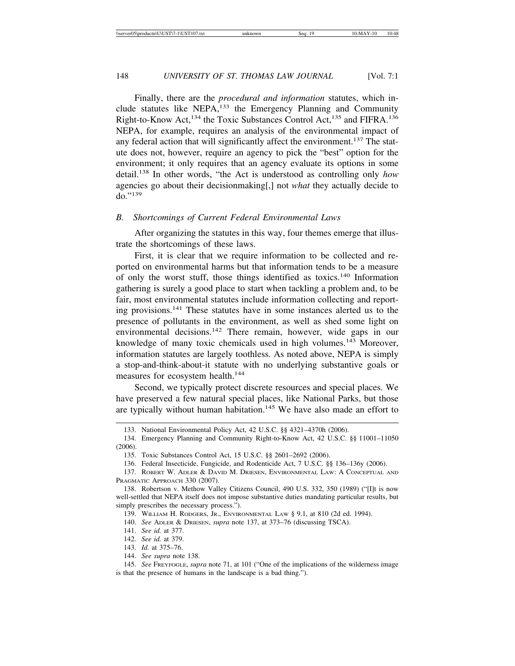Finally, there are the *procedural and information* statutes, which include statutes like NEPA, $133$  the Emergency Planning and Community Right-to-Know Act,<sup>134</sup> the Toxic Substances Control Act,<sup>135</sup> and FIFRA.<sup>136</sup> NEPA, for example, requires an analysis of the environmental impact of any federal action that will significantly affect the environment.<sup>137</sup> The statute does not, however, require an agency to pick the "best" option for the environment; it only requires that an agency evaluate its options in some detail.138 In other words, "the Act is understood as controlling only *how* agencies go about their decisionmaking[,] not *what* they actually decide to do."<sup>139</sup>

#### *B. Shortcomings of Current Federal Environmental Laws*

After organizing the statutes in this way, four themes emerge that illustrate the shortcomings of these laws.

First, it is clear that we require information to be collected and reported on environmental harms but that information tends to be a measure of only the worst stuff, those things identified as toxics.<sup>140</sup> Information gathering is surely a good place to start when tackling a problem and, to be fair, most environmental statutes include information collecting and reporting provisions.141 These statutes have in some instances alerted us to the presence of pollutants in the environment, as well as shed some light on environmental decisions.<sup>142</sup> There remain, however, wide gaps in our knowledge of many toxic chemicals used in high volumes.<sup>143</sup> Moreover, information statutes are largely toothless. As noted above, NEPA is simply a stop-and-think-about-it statute with no underlying substantive goals or measures for ecosystem health.<sup>144</sup>

Second, we typically protect discrete resources and special places. We have preserved a few natural special places, like National Parks, but those are typically without human habitation.<sup>145</sup> We have also made an effort to

139. WILLIAM H. RODGERS, JR., ENVIRONMENTAL LAW § 9.1, at 810 (2d ed. 1994).

140. *See* ADLER & DRIESEN, *supra* note 137, at 373–76 (discussing TSCA).

141. *See id.* at 377.

142. *See id.* at 379.

143. *Id.* at 375–76.

144. *See supra* note 138.

145. *See* FREYFOGLE, *supra* note 71, at 101 ("One of the implications of the wilderness image is that the presence of humans in the landscape is a bad thing.").

<sup>133.</sup> National Environmental Policy Act, 42 U.S.C. §§ 4321–4370h (2006).

<sup>134.</sup> Emergency Planning and Community Right-to-Know Act, 42 U.S.C. §§ 11001–11050 (2006).

<sup>135.</sup> Toxic Substances Control Act, 15 U.S.C. §§ 2601–2692 (2006).

<sup>136.</sup> Federal Insecticide, Fungicide, and Rodenticide Act, 7 U.S.C. §§ 136–136y (2006).

<sup>137.</sup> ROBERT W. ADLER & DAVID M. DRIESEN, ENVIRONMENTAL LAW: A CONCEPTUAL AND PRAGMATIC APPROACH 330 (2007).

<sup>138.</sup> Robertson v. Methow Valley Citizens Council, 490 U.S. 332, 350 (1989) ("[I]t is now well-settled that NEPA itself does not impose substantive duties mandating particular results, but simply prescribes the necessary process.").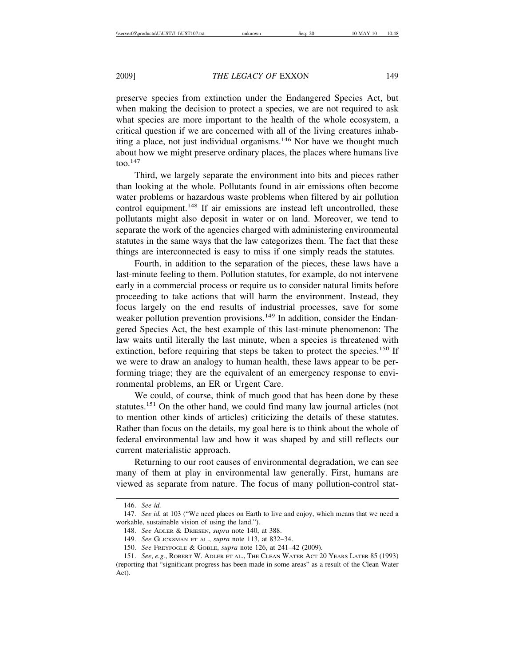preserve species from extinction under the Endangered Species Act, but when making the decision to protect a species, we are not required to ask what species are more important to the health of the whole ecosystem, a critical question if we are concerned with all of the living creatures inhabiting a place, not just individual organisms.<sup>146</sup> Nor have we thought much about how we might preserve ordinary places, the places where humans live  $\mathrm{too.}^{147}$ 

Third, we largely separate the environment into bits and pieces rather than looking at the whole. Pollutants found in air emissions often become water problems or hazardous waste problems when filtered by air pollution control equipment.<sup>148</sup> If air emissions are instead left uncontrolled, these pollutants might also deposit in water or on land. Moreover, we tend to separate the work of the agencies charged with administering environmental statutes in the same ways that the law categorizes them. The fact that these things are interconnected is easy to miss if one simply reads the statutes.

Fourth, in addition to the separation of the pieces, these laws have a last-minute feeling to them. Pollution statutes, for example, do not intervene early in a commercial process or require us to consider natural limits before proceeding to take actions that will harm the environment. Instead, they focus largely on the end results of industrial processes, save for some weaker pollution prevention provisions.<sup>149</sup> In addition, consider the Endangered Species Act, the best example of this last-minute phenomenon: The law waits until literally the last minute, when a species is threatened with extinction, before requiring that steps be taken to protect the species.<sup>150</sup> If we were to draw an analogy to human health, these laws appear to be performing triage; they are the equivalent of an emergency response to environmental problems, an ER or Urgent Care.

We could, of course, think of much good that has been done by these statutes.<sup>151</sup> On the other hand, we could find many law journal articles (not to mention other kinds of articles) criticizing the details of these statutes. Rather than focus on the details, my goal here is to think about the whole of federal environmental law and how it was shaped by and still reflects our current materialistic approach.

Returning to our root causes of environmental degradation, we can see many of them at play in environmental law generally. First, humans are viewed as separate from nature. The focus of many pollution-control stat-

<sup>146.</sup> *See id.*

<sup>147.</sup> *See id.* at 103 ("We need places on Earth to live and enjoy, which means that we need a workable, sustainable vision of using the land.").

<sup>148.</sup> *See* ADLER & DRIESEN, *supra* note 140, at 388.

<sup>149.</sup> *See* GLICKSMAN ET AL., *supra* note 113, at 832–34.

<sup>150.</sup> *See* FREYFOGLE & GOBLE, *supra* note 126, at 241–42 (2009).

<sup>151.</sup> *See*, *e.g.*, ROBERT W. ADLER ET AL., THE CLEAN WATER ACT 20 YEARS LATER 85 (1993) (reporting that "significant progress has been made in some areas" as a result of the Clean Water Act).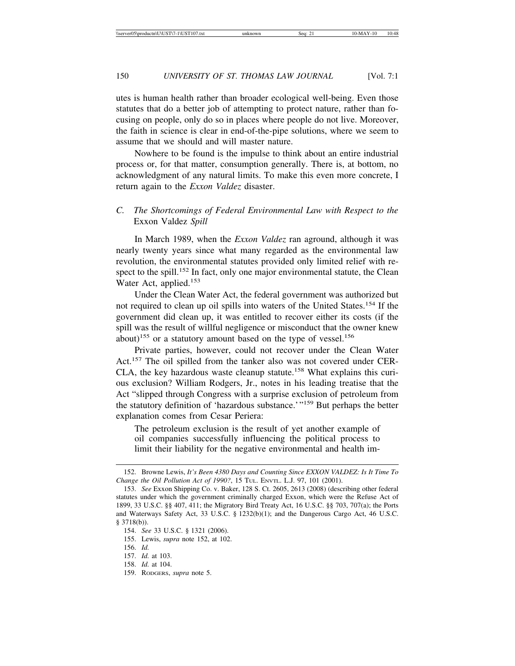utes is human health rather than broader ecological well-being. Even those statutes that do a better job of attempting to protect nature, rather than focusing on people, only do so in places where people do not live. Moreover, the faith in science is clear in end-of-the-pipe solutions, where we seem to assume that we should and will master nature.

Nowhere to be found is the impulse to think about an entire industrial process or, for that matter, consumption generally. There is, at bottom, no acknowledgment of any natural limits. To make this even more concrete, I return again to the *Exxon Valdez* disaster.

#### *C. The Shortcomings of Federal Environmental Law with Respect to the* Exxon Valdez *Spill*

In March 1989, when the *Exxon Valdez* ran aground, although it was nearly twenty years since what many regarded as the environmental law revolution, the environmental statutes provided only limited relief with respect to the spill.<sup>152</sup> In fact, only one major environmental statute, the Clean Water Act, applied.<sup>153</sup>

Under the Clean Water Act, the federal government was authorized but not required to clean up oil spills into waters of the United States.<sup>154</sup> If the government did clean up, it was entitled to recover either its costs (if the spill was the result of willful negligence or misconduct that the owner knew about)<sup>155</sup> or a statutory amount based on the type of vessel.<sup>156</sup>

Private parties, however, could not recover under the Clean Water Act.<sup>157</sup> The oil spilled from the tanker also was not covered under CER-CLA, the key hazardous waste cleanup statute.<sup>158</sup> What explains this curious exclusion? William Rodgers, Jr., notes in his leading treatise that the Act "slipped through Congress with a surprise exclusion of petroleum from the statutory definition of 'hazardous substance.'"159 But perhaps the better explanation comes from Cesar Periera:

The petroleum exclusion is the result of yet another example of oil companies successfully influencing the political process to limit their liability for the negative environmental and health im-

<sup>152.</sup> Browne Lewis, *It's Been 4380 Days and Counting Since EXXON VALDEZ: Is It Time To Change the Oil Pollution Act of 1990?*, 15 TUL. ENVTL. L.J. 97, 101 (2001).

<sup>153.</sup> *See* Exxon Shipping Co. v. Baker, 128 S. Ct. 2605, 2613 (2008) (describing other federal statutes under which the government criminally charged Exxon, which were the Refuse Act of 1899, 33 U.S.C. §§ 407, 411; the Migratory Bird Treaty Act, 16 U.S.C. §§ 703, 707(a); the Ports and Waterways Safety Act, 33 U.S.C. § 1232(b)(1); and the Dangerous Cargo Act, 46 U.S.C. § 3718(b)).

<sup>154.</sup> *See* 33 U.S.C. § 1321 (2006).

<sup>155.</sup> Lewis, *supra* note 152, at 102.

<sup>156.</sup> *Id.*

<sup>157.</sup> *Id.* at 103.

<sup>158.</sup> *Id.* at 104.

<sup>159.</sup> RODGERS, *supra* note 5.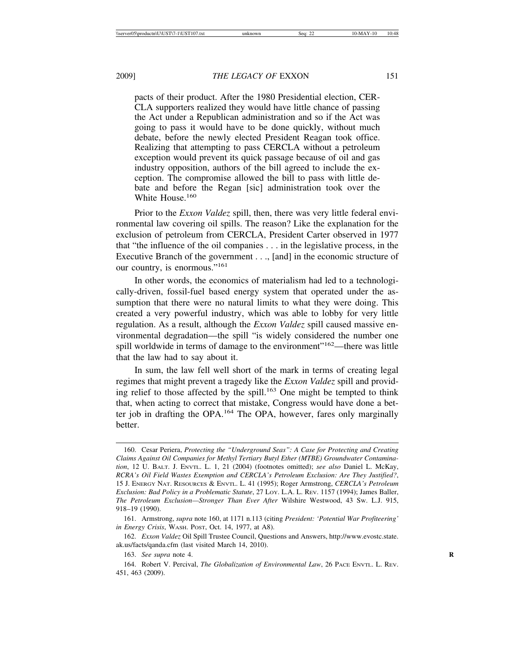pacts of their product. After the 1980 Presidential election, CER-CLA supporters realized they would have little chance of passing the Act under a Republican administration and so if the Act was going to pass it would have to be done quickly, without much debate, before the newly elected President Reagan took office. Realizing that attempting to pass CERCLA without a petroleum exception would prevent its quick passage because of oil and gas industry opposition, authors of the bill agreed to include the exception. The compromise allowed the bill to pass with little debate and before the Regan [sic] administration took over the White House.<sup>160</sup>

Prior to the *Exxon Valdez* spill, then, there was very little federal environmental law covering oil spills. The reason? Like the explanation for the exclusion of petroleum from CERCLA, President Carter observed in 1977 that "the influence of the oil companies . . . in the legislative process, in the Executive Branch of the government . . ., [and] in the economic structure of our country, is enormous."<sup>161</sup>

In other words, the economics of materialism had led to a technologically-driven, fossil-fuel based energy system that operated under the assumption that there were no natural limits to what they were doing. This created a very powerful industry, which was able to lobby for very little regulation. As a result, although the *Exxon Valdez* spill caused massive environmental degradation—the spill "is widely considered the number one spill worldwide in terms of damage to the environment"<sup>162</sup>—there was little that the law had to say about it.

In sum, the law fell well short of the mark in terms of creating legal regimes that might prevent a tragedy like the *Exxon Valdez* spill and providing relief to those affected by the spill.<sup>163</sup> One might be tempted to think that, when acting to correct that mistake, Congress would have done a better job in drafting the OPA.164 The OPA, however, fares only marginally better.

<sup>160.</sup> Cesar Periera, *Protecting the "Underground Seas": A Case for Protecting and Creating Claims Against Oil Companies for Methyl Tertiary Butyl Ether (MTBE) Groundwater Contamination*, 12 U. BALT. J. ENVTL. L. 1, 21 (2004) (footnotes omitted); *see also* Daniel L. McKay, *RCRA's Oil Field Wastes Exemption and CERCLA's Petroleum Exclusion: Are They Justified?*, 15 J. ENERGY NAT. RESOURCES & ENVTL. L. 41 (1995); Roger Armstrong, *CERCLA's Petroleum Exclusion: Bad Policy in a Problematic Statute*, 27 LOY. L.A. L. REV. 1157 (1994); James Baller, *The Petroleum Exclusion—Stronger Than Ever After* Wilshire Westwood, 43 SW. L.J. 915, 918–19 (1990).

<sup>161.</sup> Armstrong, *supra* note 160, at 1171 n.113 (citing *President: 'Potential War Profiteering' in Energy Crisis*, WASH. POST, Oct. 14, 1977, at A8).

<sup>162.</sup> *Exxon Valdez* Oil Spill Trustee Council, Questions and Answers, http://www.evostc.state. ak.us/facts/qanda.cfm (last visited March 14, 2010).

<sup>163.</sup> *See supra* note 4. **R**

<sup>164.</sup> Robert V. Percival, *The Globalization of Environmental Law*, 26 PACE ENVTL. L. REV. 451, 463 (2009).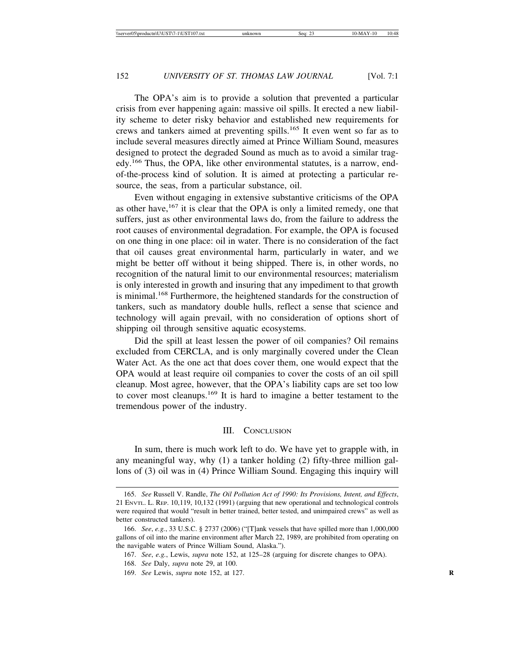The OPA's aim is to provide a solution that prevented a particular crisis from ever happening again: massive oil spills. It erected a new liability scheme to deter risky behavior and established new requirements for crews and tankers aimed at preventing spills.165 It even went so far as to include several measures directly aimed at Prince William Sound, measures designed to protect the degraded Sound as much as to avoid a similar tragedy.166 Thus, the OPA, like other environmental statutes, is a narrow, endof-the-process kind of solution. It is aimed at protecting a particular resource, the seas, from a particular substance, oil.

Even without engaging in extensive substantive criticisms of the OPA as other have,  $167$  it is clear that the OPA is only a limited remedy, one that suffers, just as other environmental laws do, from the failure to address the root causes of environmental degradation. For example, the OPA is focused on one thing in one place: oil in water. There is no consideration of the fact that oil causes great environmental harm, particularly in water, and we might be better off without it being shipped. There is, in other words, no recognition of the natural limit to our environmental resources; materialism is only interested in growth and insuring that any impediment to that growth is minimal.<sup>168</sup> Furthermore, the heightened standards for the construction of tankers, such as mandatory double hulls, reflect a sense that science and technology will again prevail, with no consideration of options short of shipping oil through sensitive aquatic ecosystems.

Did the spill at least lessen the power of oil companies? Oil remains excluded from CERCLA, and is only marginally covered under the Clean Water Act. As the one act that does cover them, one would expect that the OPA would at least require oil companies to cover the costs of an oil spill cleanup. Most agree, however, that the OPA's liability caps are set too low to cover most cleanups.169 It is hard to imagine a better testament to the tremendous power of the industry.

#### III. CONCLUSION

In sum, there is much work left to do. We have yet to grapple with, in any meaningful way, why (1) a tanker holding (2) fifty-three million gallons of (3) oil was in (4) Prince William Sound. Engaging this inquiry will

<sup>165.</sup> *See* Russell V. Randle, *The Oil Pollution Act of 1990: Its Provisions, Intent, and Effects*, 21 ENVTL. L. REP. 10,119, 10,132 (1991) (arguing that new operational and technological controls were required that would "result in better trained, better tested, and unimpaired crews" as well as better constructed tankers).

<sup>166.</sup> *See*, *e.g.*, 33 U.S.C. § 2737 (2006) ("[T]ank vessels that have spilled more than 1,000,000 gallons of oil into the marine environment after March 22, 1989, are prohibited from operating on the navigable waters of Prince William Sound, Alaska.").

<sup>167.</sup> *See*, *e.g.*, Lewis, *supra* note 152, at 125–28 (arguing for discrete changes to OPA).

<sup>168.</sup> *See* Daly, *supra* note 29, at 100.

<sup>169.</sup> *See* Lewis, *supra* note 152, at 127. **R**